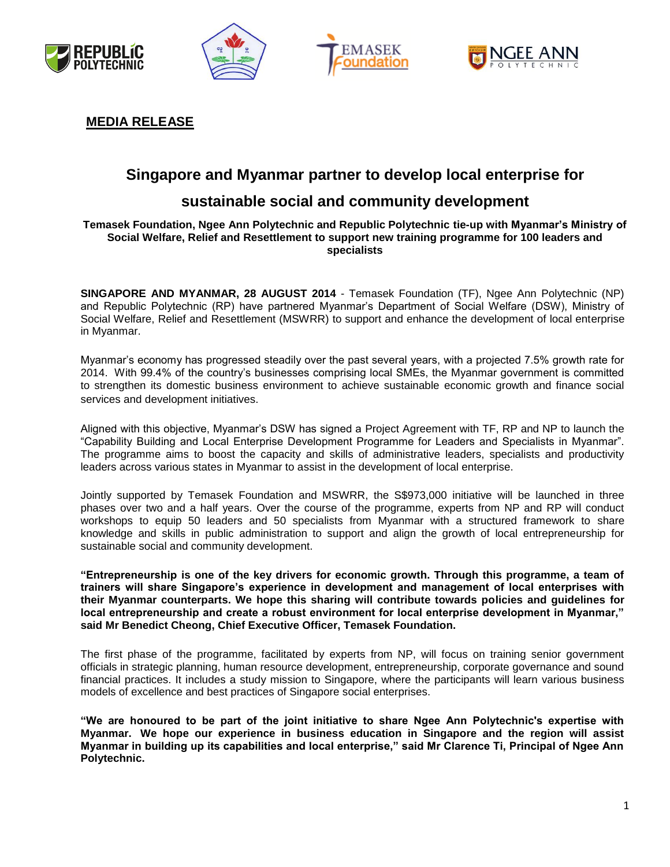







### **MEDIA RELEASE**

# **Singapore and Myanmar partner to develop local enterprise for**

## **sustainable social and community development**

#### **Temasek Foundation, Ngee Ann Polytechnic and Republic Polytechnic tie-up with Myanmar's Ministry of Social Welfare, Relief and Resettlement to support new training programme for 100 leaders and specialists**

**SINGAPORE AND MYANMAR, 28 AUGUST 2014** - Temasek Foundation (TF), Ngee Ann Polytechnic (NP) and Republic Polytechnic (RP) have partnered Myanmar's Department of Social Welfare (DSW), Ministry of Social Welfare, Relief and Resettlement (MSWRR) to support and enhance the development of local enterprise in Myanmar.

Myanmar's economy has progressed steadily over the past several years, with a projected 7.5% growth rate for 2014. With 99.4% of the country's businesses comprising local SMEs, the Myanmar government is committed to strengthen its domestic business environment to achieve sustainable economic growth and finance social services and development initiatives.

Aligned with this objective, Myanmar's DSW has signed a Project Agreement with TF, RP and NP to launch the "Capability Building and Local Enterprise Development Programme for Leaders and Specialists in Myanmar". The programme aims to boost the capacity and skills of administrative leaders, specialists and productivity leaders across various states in Myanmar to assist in the development of local enterprise.

Jointly supported by Temasek Foundation and MSWRR, the S\$973,000 initiative will be launched in three phases over two and a half years. Over the course of the programme, experts from NP and RP will conduct workshops to equip 50 leaders and 50 specialists from Myanmar with a structured framework to share knowledge and skills in public administration to support and align the growth of local entrepreneurship for sustainable social and community development.

**"Entrepreneurship is one of the key drivers for economic growth. Through this programme, a team of trainers will share Singapore's experience in development and management of local enterprises with their Myanmar counterparts. We hope this sharing will contribute towards policies and guidelines for local entrepreneurship and create a robust environment for local enterprise development in Myanmar," said Mr Benedict Cheong, Chief Executive Officer, Temasek Foundation.** 

The first phase of the programme, facilitated by experts from NP, will focus on training senior government officials in strategic planning, human resource development, entrepreneurship, corporate governance and sound financial practices. It includes a study mission to Singapore, where the participants will learn various business models of excellence and best practices of Singapore social enterprises.

**"We are honoured to be part of the joint initiative to share Ngee Ann Polytechnic's expertise with Myanmar. We hope our experience in business education in Singapore and the region will assist Myanmar in building up its capabilities and local enterprise," said Mr Clarence Ti, Principal of Ngee Ann Polytechnic.**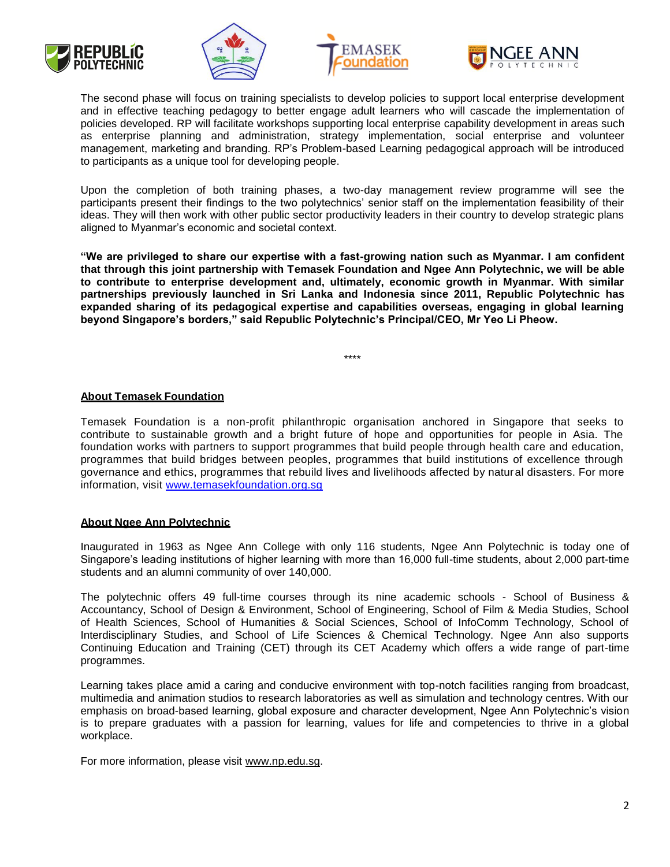







The second phase will focus on training specialists to develop policies to support local enterprise development and in effective teaching pedagogy to better engage adult learners who will cascade the implementation of policies developed. RP will facilitate workshops supporting local enterprise capability development in areas such as enterprise planning and administration, strategy implementation, social enterprise and volunteer management, marketing and branding. RP's Problem-based Learning pedagogical approach will be introduced to participants as a unique tool for developing people.

Upon the completion of both training phases, a two-day management review programme will see the participants present their findings to the two polytechnics' senior staff on the implementation feasibility of their ideas. They will then work with other public sector productivity leaders in their country to develop strategic plans aligned to Myanmar's economic and societal context.

**"We are privileged to share our expertise with a fast-growing nation such as Myanmar. I am confident that through this joint partnership with Temasek Foundation and Ngee Ann Polytechnic, we will be able to contribute to enterprise development and, ultimately, economic growth in Myanmar. With similar partnerships previously launched in Sri Lanka and Indonesia since 2011, Republic Polytechnic has expanded sharing of its pedagogical expertise and capabilities overseas, engaging in global learning beyond Singapore's borders," said Republic Polytechnic's Principal/CEO, Mr Yeo Li Pheow.**

\*\*\*\*

#### **About Temasek Foundation**

Temasek Foundation is a non-profit philanthropic organisation anchored in Singapore that seeks to contribute to sustainable growth and a bright future of hope and opportunities for people in Asia. The foundation works with partners to support programmes that build people through health care and education, programmes that build bridges between peoples, programmes that build institutions of excellence through governance and ethics, programmes that rebuild lives and livelihoods affected by natural disasters. For more information, visit [www.temasekfoundation.org.sg](http://www.temasekfoundation.org.sg/)

#### **About Ngee Ann Polytechnic**

Inaugurated in 1963 as Ngee Ann College with only 116 students, Ngee Ann Polytechnic is today one of Singapore's leading institutions of higher learning with more than 16,000 full-time students, about 2,000 part-time students and an alumni community of over 140,000.

The polytechnic offers 49 full-time courses through its nine academic schools - School of Business & Accountancy, School of Design & Environment, School of Engineering, School of Film & Media Studies, School of Health Sciences, School of Humanities & Social Sciences, School of InfoComm Technology, School of Interdisciplinary Studies, and School of Life Sciences & Chemical Technology. Ngee Ann also supports Continuing Education and Training (CET) through its CET Academy which offers a wide range of part-time programmes.

Learning takes place amid a caring and conducive environment with top-notch facilities ranging from broadcast, multimedia and animation studios to research laboratories as well as simulation and technology centres. With our emphasis on broad-based learning, global exposure and character development, Ngee Ann Polytechnic's vision is to prepare graduates with a passion for learning, values for life and competencies to thrive in a global workplace.

For more information, please visit [www.np.edu.sg.](http://www.np.edu.sg/)